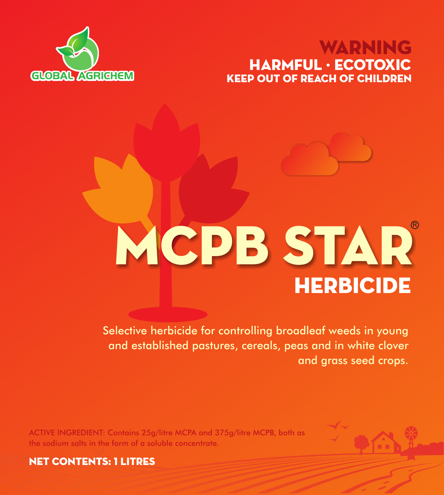# KEEP OUT OF REACH OF CHILDREN WARNING HARMFUL · ECOTOXIC



# **HERBICIDE MCPB STAR**

Selective herbicide for controlling broadleaf weeds in young and established pastures, cereals, peas and in white clover and grass seed crops.

ACTIVE INGREDIENT: Contains 25g/litre MCPA and 375g/litre MCPB, both as the sodium salts in the form of a soluble concentrate.



NET CONTENTS: 1 litres